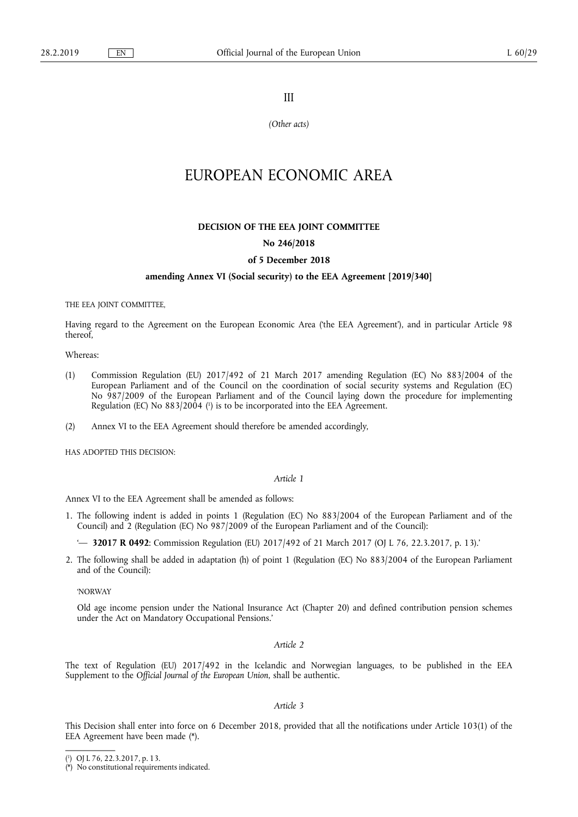III

*(Other acts)* 

# EUROPEAN ECONOMIC AREA

#### **DECISION OF THE EEA JOINT COMMITTEE**

# **No 246/2018**

#### **of 5 December 2018**

#### **amending Annex VI (Social security) to the EEA Agreement [2019/340]**

THE EEA JOINT COMMITTEE,

Having regard to the Agreement on the European Economic Area ('the EEA Agreement'), and in particular Article 98 thereof,

Whereas:

- (1) Commission Regulation (EU) 2017/492 of 21 March 2017 amending Regulation (EC) No 883/2004 of the European Parliament and of the Council on the coordination of social security systems and Regulation (EC) No 987/2009 of the European Parliament and of the Council laying down the procedure for implementing Regulation (EC) No 883/2004 ( 1 ) is to be incorporated into the EEA Agreement.
- (2) Annex VI to the EEA Agreement should therefore be amended accordingly,

HAS ADOPTED THIS DECISION:

#### *Article 1*

Annex VI to the EEA Agreement shall be amended as follows:

- 1. The following indent is added in points 1 (Regulation (EC) No 883/2004 of the European Parliament and of the Council) and 2 (Regulation (EC) No 987/2009 of the European Parliament and of the Council):
	- '— **32017 R 0492**: Commission Regulation (EU) 2017/492 of 21 March 2017 (OJ L 76, 22.3.2017, p. 13).'
- 2. The following shall be added in adaptation (h) of point 1 (Regulation (EC) No 883/2004 of the European Parliament and of the Council):

'NORWAY

Old age income pension under the National Insurance Act (Chapter 20) and defined contribution pension schemes under the Act on Mandatory Occupational Pensions.'

*Article 2* 

The text of Regulation (EU) 2017/492 in the Icelandic and Norwegian languages, to be published in the EEA Supplement to the *Official Journal of the European Union*, shall be authentic.

### *Article 3*

This Decision shall enter into force on 6 December 2018, provided that all the notifications under Article 103(1) of the EEA Agreement have been made (\*).

<sup>(</sup> 1 ) OJ L 76, 22.3.2017, p. 13.

<sup>(\*)</sup> No constitutional requirements indicated.